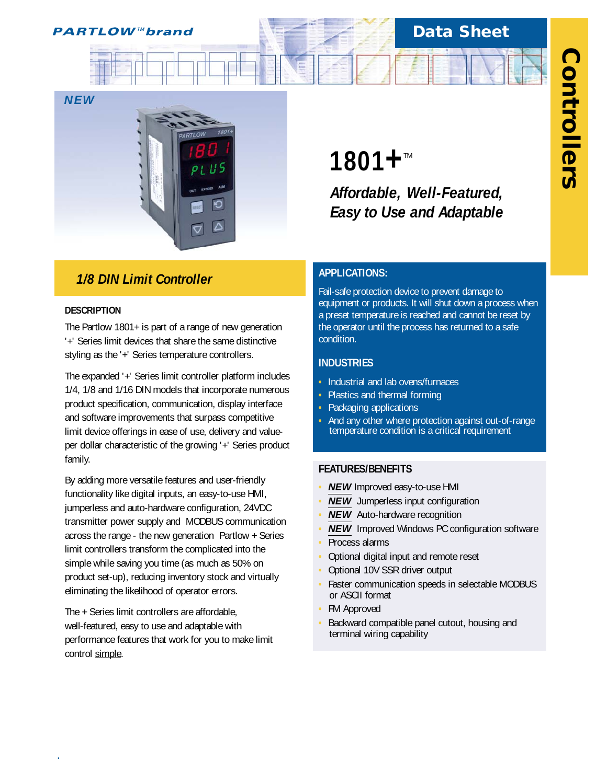# **Data Sheet**



## *1/8 DIN Limit Controller*

#### **DESCRIPTION**

*.*

The Partlow 1801+ is part of a range of new generation '+' Series limit devices that share the same distinctive styling as the '+' Series temperature controllers.

The expanded '+' Series limit controller platform includes 1/4, 1/8 and 1/16 DIN models that incorporate numerous product specification, communication, display interface and software improvements that surpass competitive limit device offerings in ease of use, delivery and valueper dollar characteristic of the growing '+' Series product family.

By adding more versatile features and user-friendly functionality like digital inputs, an easy-to-use HMI, jumperless and auto-hardware configuration, 24VDC transmitter power supply and MODBUS communication across the range - the new generation Partlow + Series limit controllers transform the complicated into the simple while saving you time (as much as 50% on product set-up), reducing inventory stock and virtually eliminating the likelihood of operator errors.

The + Series limit controllers are affordable, well-featured, easy to use and adaptable with performance features that work for you to make limit control simple.

# **1801+**™

*Affordable, Well-Featured, Easy to Use and Adaptable*

#### **APPLICATIONS:**

Fail-safe protection device to prevent damage to equipment or products. It will shut down a process when a preset temperature is reached and cannot be reset by the operator until the process has returned to a safe condition.

#### **INDUSTRIES**

- **•** Industrial and lab ovens/furnaces
- **•** Plastics and thermal forming
- **•** Packaging applications
- **•** And any other where protection against out-of-range temperature condition is a critical requirement

#### **FEATURES/BENEFITS**

- **• NEW** Improved easy-to-use HMI
- **• NEW** Jumperless input configuration
- **NEW** Auto-hardware recognition
- **• NEW** Improved Windows PC configuration software
- **•** Process alarms
- **•** Optional digital input and remote reset
- **•** Optional 10V SSR driver output
- **•** Faster communication speeds in selectable MODBUS or ASCII format
- **•** FM Approved
- **•** Backward compatible panel cutout, housing and terminal wiring capability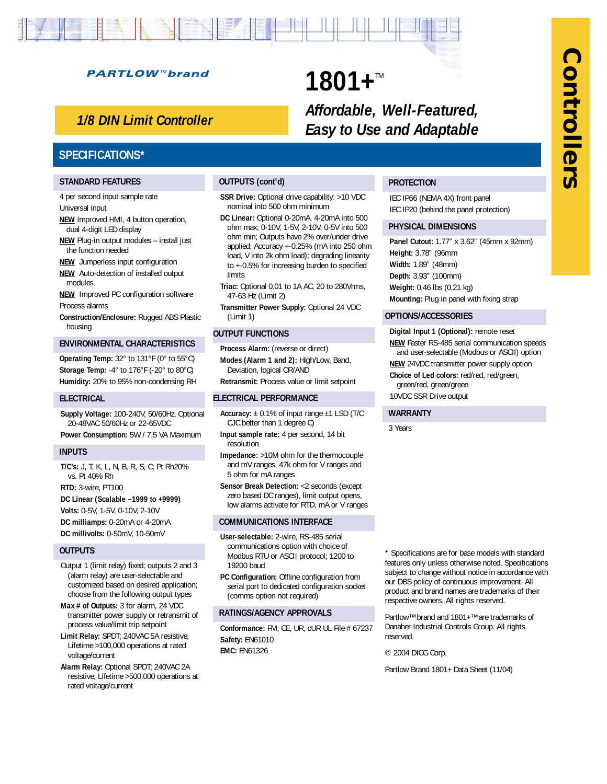# **Controllers Controllers**

#### **PARTLOW™brand**

### *1/8 DIN Limit Controller*

#### **SPECIFICATIONS\***

#### **STANDARD FEATURES**

4 per second input sample rate Universal input

- **NEW** Improved HMI, 4 button operation, dual 4-digit LED display
- **NEW** Plug-in output modules install just the function needed
- **NEW** Jumperless input configuration
- **NEW** Auto-detection of installed output modules

**NEW** Improved PC configuration software Process alarms

**Construction/Enclosure:** Rugged ABS Plastic housing

#### **ENVIRONMENTAL CHARACTERISTICS**

**Operating Temp:** 32° to 131°F (0° to 55°C) **Storage Temp:** -4° to 176°F (-20° to 80°C) **Humidity:** 20% to 95% non-condensing RH

#### **ELECTRICAL**

**Supply Voltage:** 100-240V, 50/60Hz, Optional 20-48VAC 50/60Hz or 22-65VDC **Power Consumption:** 5W / 7.5 VA Maximum

#### **INPUTS**

**T/C's:** J, T, K, L, N, B, R, S, C; Pt Rh20% vs. Pt 40% Rh

**RTD:** 3-wire, PT100

**DC Linear (Scalable –1999 to +9999)**

**Volts:** 0-5V, 1-5V, 0-10V, 2-10V

**DC milliamps:** 0-20mA or 4-20mA **DC millivolts:** 0-50mV, 10-50mV

#### **OUTPUTS**

Output 1 (limit relay) fixed; outputs 2 and 3 (alarm relay) are user-selectable and customized based on desired application; choose from the following output types

- **Max # of Outputs:** 3 for alarm, 24 VDC transmitter power supply or retransmit of process value/limit trip setpoint
- **Limit Relay:** SPDT; 240VAC 5A resistive; Lifetime >100,000 operations at rated voltage/current
- **Alarm Relay:** Optional SPDT; 240VAC 2A resistive; Lifetime >500,000 operations at rated voltage/current

#### **OUTPUTS (cont'd)**

**SSR Drive:** Optional drive capability: >10 VDC nominal into 500 ohm minimum

**1801+™** 

- **DC Linear:** Optional 0-20mA, 4-20mA into 500 ohm max; 0-10V, 1-5V, 2-10V, 0-5V into 500 ohm min; Outputs have 2% over/under drive applied; Accuracy +-0.25% (mA into 250 ohm load, V into 2k ohm load); degrading linearity to +-0.5% for increasing burden to specified limits
- **Triac:** Optional 0.01 to 1A AC, 20 to 280Vrms, 47-63 Hz (Limit 2)
- **Transmitter Power Supply:** Optional 24 VDC (Limit 1)

#### **OUTPUT FUNCTIONS**

**Process Alarm:** (reverse or direct) **Modes (Alarm 1 and 2):** High/Low, Band, Deviation, logical OR/AND

**Retransmit:** Process value or limit setpoint

#### **ELECTRICAL PERFORMANCE**

- **Accuracy:** ± 0.1% of input range ±1 LSD (T/C CJC better than 1 degree C)
- **Input sample rate:** 4 per second, 14 bit resolution
- **Impedance:** >10M ohm for the thermocouple and mV ranges, 47k ohm for V ranges and 5 ohm for mA ranges
- **Sensor Break Detection:** <2 seconds (except zero based DC ranges), limit output opens, low alarms activate for RTD, mA or V ranges

#### **COMMUNICATIONS INTERFACE**

- **User-selectable:** 2-wire, RS-485 serial communications option with choice of Modbus RTU or ASCII protocol; 1200 to 19200 baud
- **PC Configuration:** Offline configuration from serial port to dedicated configuration socket (comms option not required)

#### **RATINGS/AGENCY APPROVALS**

**Conformance:** FM, CE, UR, cUR UL File # 67237 **Safety:** EN61010 **EMC:** EN61326

\* Specifications are for base models with standard features only unless otherwise noted. Specifications subject to change without notice in accordance with our DBS policy of continuous improvement. All product and brand names are trademarks of their respective owners. All rights reserved.

Partlow™ brand and 1801+™ are trademarks of Danaher Industrial Controls Group. All rights reserved.

© 2004 DICG Corp.

Partlow Brand 1801+ Data Sheet (11/04)

#### **PROTECTION**

*Affordable, Well-Featured, Easy to Use and Adaptable*

> IEC IP66 (NEMA 4X) front panel IEC IP20 (behind the panel protection)

#### **PHYSICAL DIMENSIONS**

**Panel Cutout:** 1.77" x 3.62" (45mm x 92mm) **Height:** 3.78" (96mm **Width:** 1.89" (48mm) **Depth:** 3.93" (100mm) **Weight:** 0.46 lbs (0.21 kg) **Mounting:** Plug in panel with fixing strap

#### **OPTIONS/ACCESSORIES**

**Digital Input 1 (Optional):** remote reset **NEW** Faster RS-485 serial communication speeds and user-selectable (Modbus or ASCII) option **NEW** 24VDC transmitter power supply option **Choice of Led colors:** red/red, red/green, green/red, green/green 10VDC SSR Drive output

#### **WARRANTY**

3 Years